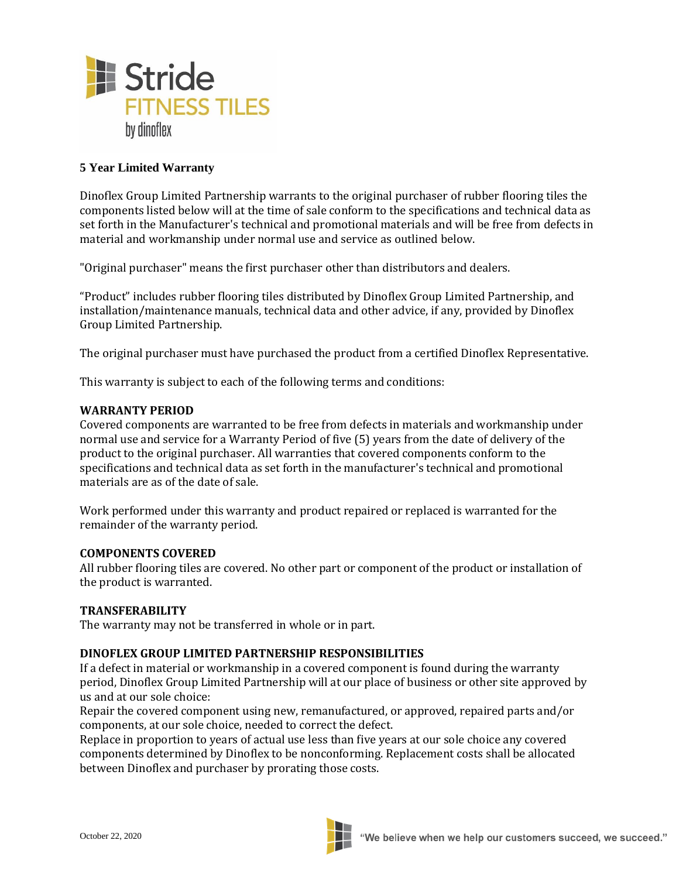

# **5 Year Limited Warranty**

Dinoflex Group Limited Partnership warrants to the original purchaser of rubber flooring tiles the components listed below will at the time of sale conform to the specifications and technical data as set forth in the Manufacturer's technical and promotional materials and will be free from defects in material and workmanship under normal use and service as outlined below.

"Original purchaser" means the first purchaser other than distributors and dealers.

"Product" includes rubber flooring tiles distributed by Dinoflex Group Limited Partnership, and installation/maintenance manuals, technical data and other advice, if any, provided by Dinoflex Group Limited Partnership.

The original purchaser must have purchased the product from a certified Dinoflex Representative.

This warranty is subject to each of the following terms and conditions:

## **WARRANTY PERIOD**

Covered components are warranted to be free from defects in materials and workmanship under normal use and service for a Warranty Period of five (5) years from the date of delivery of the product to the original purchaser. All warranties that covered components conform to the specifications and technical data as set forth in the manufacturer's technical and promotional materials are as of the date of sale.

Work performed under this warranty and product repaired or replaced is warranted for the remainder of the warranty period.

### **COMPONENTS COVERED**

All rubber flooring tiles are covered. No other part or component of the product or installation of the product is warranted.

### **TRANSFERABILITY**

The warranty may not be transferred in whole or in part.

### **DINOFLEX GROUP LIMITED PARTNERSHIP RESPONSIBILITIES**

If a defect in material or workmanship in a covered component is found during the warranty period, Dinoflex Group Limited Partnership will at our place of business or other site approved by us and at our sole choice:

Repair the covered component using new, remanufactured, or approved, repaired parts and/or components, at our sole choice, needed to correct the defect.

Replace in proportion to years of actual use less than five years at our sole choice any covered components determined by Dinoflex to be nonconforming. Replacement costs shall be allocated between Dinoflex and purchaser by prorating those costs.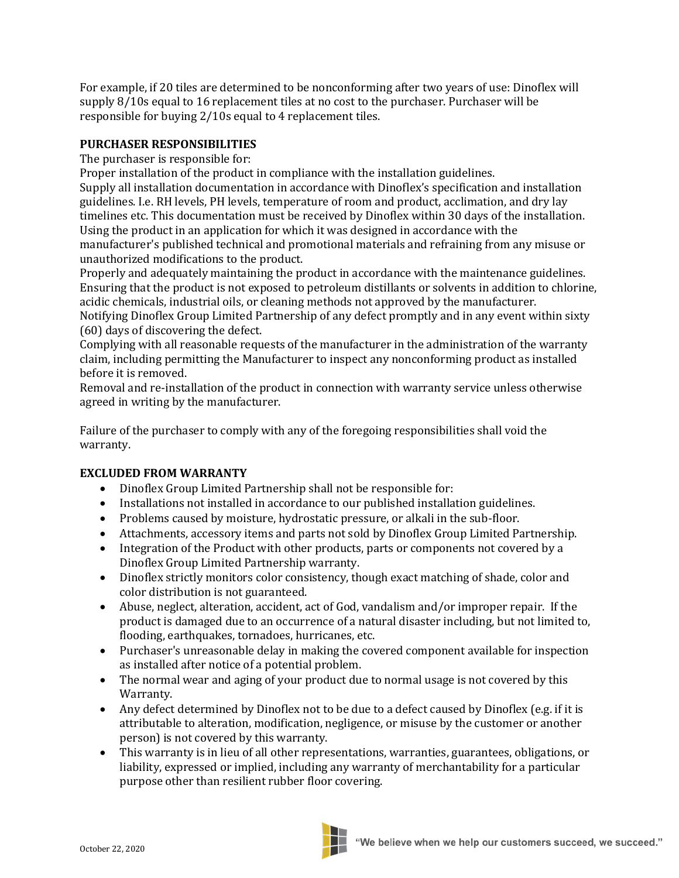For example, if 20 tiles are determined to be nonconforming after two years of use: Dinoflex will supply 8/10s equal to 16 replacement tiles at no cost to the purchaser. Purchaser will be responsible for buying 2/10s equal to 4 replacement tiles.

## **PURCHASER RESPONSIBILITIES**

The purchaser is responsible for:

Proper installation of the product in compliance with the installation guidelines. Supply all installation documentation in accordance with Dinoflex's specification and installation guidelines. I.e. RH levels, PH levels, temperature of room and product, acclimation, and dry lay timelines etc. This documentation must be received by Dinoflex within 30 days of the installation. Using the product in an application for which it was designed in accordance with the manufacturer's published technical and promotional materials and refraining from any misuse or unauthorized modifications to the product.

Properly and adequately maintaining the product in accordance with the maintenance guidelines. Ensuring that the product is not exposed to petroleum distillants or solvents in addition to chlorine, acidic chemicals, industrial oils, or cleaning methods not approved by the manufacturer.

Notifying Dinoflex Group Limited Partnership of any defect promptly and in any event within sixty (60) days of discovering the defect.

Complying with all reasonable requests of the manufacturer in the administration of the warranty claim, including permitting the Manufacturer to inspect any nonconforming product as installed before it is removed.

Removal and re-installation of the product in connection with warranty service unless otherwise agreed in writing by the manufacturer.

Failure of the purchaser to comply with any of the foregoing responsibilities shall void the warranty.

## **EXCLUDED FROM WARRANTY**

- Dinoflex Group Limited Partnership shall not be responsible for:
- Installations not installed in accordance to our published installation guidelines.
- Problems caused by moisture, hydrostatic pressure, or alkali in the sub-floor.
- Attachments, accessory items and parts not sold by Dinoflex Group Limited Partnership.
- Integration of the Product with other products, parts or components not covered by a Dinoflex Group Limited Partnership warranty.
- Dinoflex strictly monitors color consistency, though exact matching of shade, color and color distribution is not guaranteed.
- Abuse, neglect, alteration, accident, act of God, vandalism and/or improper repair. If the product is damaged due to an occurrence of a natural disaster including, but not limited to, flooding, earthquakes, tornadoes, hurricanes, etc.
- Purchaser's unreasonable delay in making the covered component available for inspection as installed after notice of a potential problem.
- The normal wear and aging of your product due to normal usage is not covered by this Warranty.
- Any defect determined by Dinoflex not to be due to a defect caused by Dinoflex (e.g. if it is attributable to alteration, modification, negligence, or misuse by the customer or another person) is not covered by this warranty.
- This warranty is in lieu of all other representations, warranties, guarantees, obligations, or liability, expressed or implied, including any warranty of merchantability for a particular purpose other than resilient rubber floor covering.

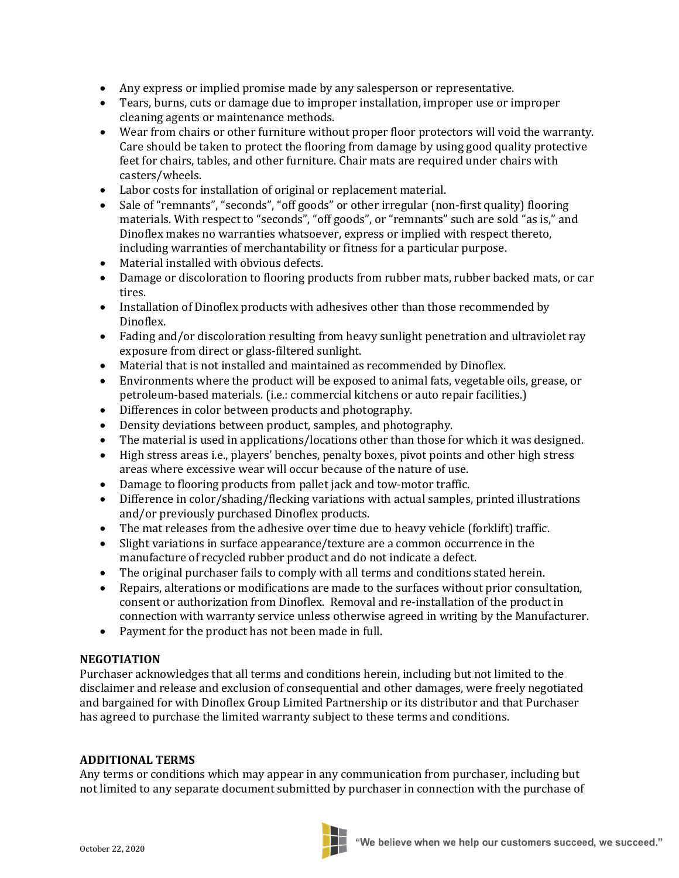- Any express or implied promise made by any salesperson or representative.
- Tears, burns, cuts or damage due to improper installation, improper use or improper cleaning agents or maintenance methods.
- Wear from chairs or other furniture without proper floor protectors will void the warranty. Care should be taken to protect the flooring from damage by using good quality protective feet for chairs, tables, and other furniture. Chair mats are required under chairs with casters/wheels.
- Labor costs for installation of original or replacement material.
- Sale of "remnants", "seconds", "off goods" or other irregular (non-first quality) flooring materials. With respect to "seconds", "off goods", or "remnants" such are sold "as is," and Dinoflex makes no warranties whatsoever, express or implied with respect thereto, including warranties of merchantability or fitness for a particular purpose.
- Material installed with obvious defects.
- Damage or discoloration to flooring products from rubber mats, rubber backed mats, or car tires.
- Installation of Dinoflex products with adhesives other than those recommended by Dinoflex.
- Fading and/or discoloration resulting from heavy sunlight penetration and ultraviolet ray exposure from direct or glass-filtered sunlight.
- Material that is not installed and maintained as recommended by Dinoflex.
- Environments where the product will be exposed to animal fats, vegetable oils, grease, or petroleum-based materials. (i.e.: commercial kitchens or auto repair facilities.)
- Differences in color between products and photography.
- Density deviations between product, samples, and photography.
- The material is used in applications/locations other than those for which it was designed.
- High stress areas i.e., players' benches, penalty boxes, pivot points and other high stress areas where excessive wear will occur because of the nature of use.
- Damage to flooring products from pallet jack and tow-motor traffic.
- Difference in color/shading/flecking variations with actual samples, printed illustrations and/or previously purchased Dinoflex products.
- The mat releases from the adhesive over time due to heavy vehicle (forklift) traffic.
- Slight variations in surface appearance/texture are a common occurrence in the manufacture of recycled rubber product and do not indicate a defect.
- The original purchaser fails to comply with all terms and conditions stated herein.
- Repairs, alterations or modifications are made to the surfaces without prior consultation, consent or authorization from Dinoflex. Removal and re-installation of the product in connection with warranty service unless otherwise agreed in writing by the Manufacturer.
- Payment for the product has not been made in full.

### **NEGOTIATION**

Purchaser acknowledges that all terms and conditions herein, including but not limited to the disclaimer and release and exclusion of consequential and other damages, were freely negotiated and bargained for with Dinoflex Group Limited Partnership or its distributor and that Purchaser has agreed to purchase the limited warranty subject to these terms and conditions.

### **ADDITIONAL TERMS**

Any terms or conditions which may appear in any communication from purchaser, including but not limited to any separate document submitted by purchaser in connection with the purchase of